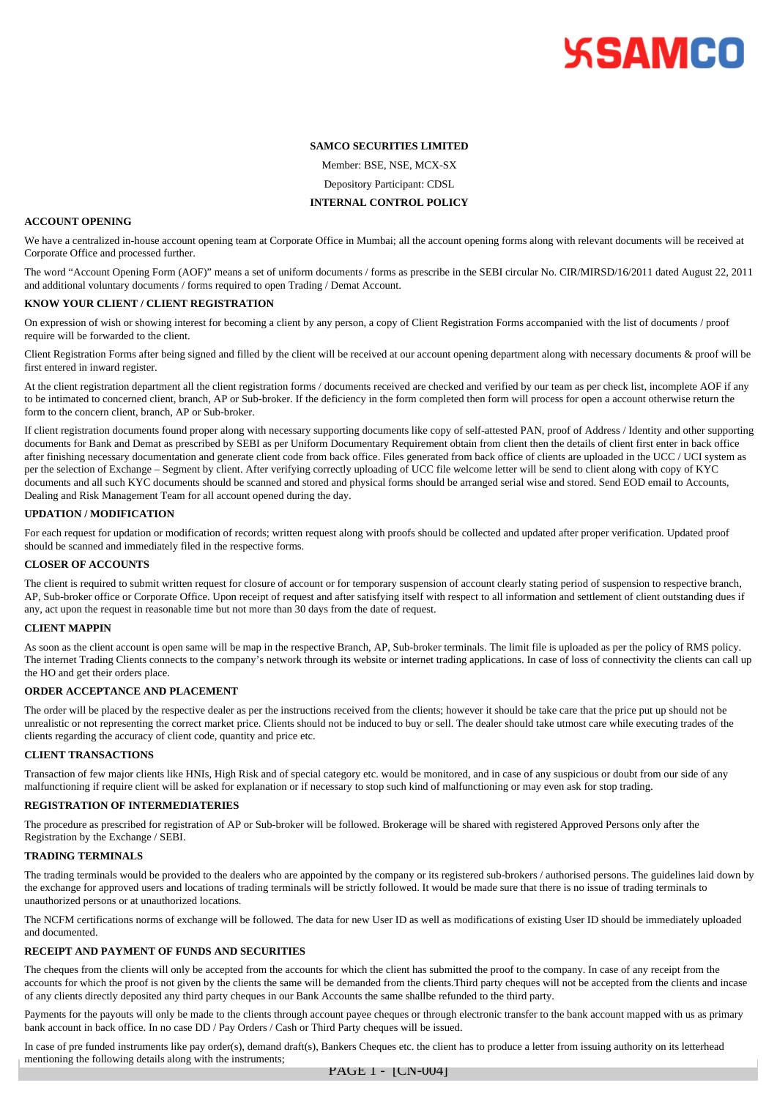# **SSAMCO**

# **SAMCO SECURITIES LIMITED**

Member: BSE, NSE, MCX-SX

Depository Participant: CDSL

#### **INTERNAL CONTROL POLICY**

# **ACCOUNT OPENING**

We have a centralized in-house account opening team at Corporate Office in Mumbai; all the account opening forms along with relevant documents will be received at Corporate Office and processed further.

The word "Account Opening Form (AOF)" means a set of uniform documents / forms as prescribe in the SEBI circular No. CIR/MIRSD/16/2011 dated August 22, 2011 and additional voluntary documents / forms required to open Trading / Demat Account.

### **KNOW YOUR CLIENT / CLIENT REGISTRATION**

On expression of wish or showing interest for becoming a client by any person, a copy of Client Registration Forms accompanied with the list of documents / proof require will be forwarded to the client.

Client Registration Forms after being signed and filled by the client will be received at our account opening department along with necessary documents & proof will be first entered in inward register.

At the client registration department all the client registration forms / documents received are checked and verified by our team as per check list, incomplete AOF if any to be intimated to concerned client, branch, AP or Sub-broker. If the deficiency in the form completed then form will process for open a account otherwise return the form to the concern client, branch, AP or Sub-broker.

If client registration documents found proper along with necessary supporting documents like copy of self-attested PAN, proof of Address / Identity and other supporting documents for Bank and Demat as prescribed by SEBI as per Uniform Documentary Requirement obtain from client then the details of client first enter in back office after finishing necessary documentation and generate client code from back office. Files generated from back office of clients are uploaded in the UCC / UCI system as per the selection of Exchange – Segment by client. After verifying correctly uploading of UCC file welcome letter will be send to client along with copy of KYC documents and all such KYC documents should be scanned and stored and physical forms should be arranged serial wise and stored. Send EOD email to Accounts, Dealing and Risk Management Team for all account opened during the day.

#### **UPDATION / MODIFICATION**

For each request for updation or modification of records; written request along with proofs should be collected and updated after proper verification. Updated proof should be scanned and immediately filed in the respective forms.

## **CLOSER OF ACCOUNTS**

The client is required to submit written request for closure of account or for temporary suspension of account clearly stating period of suspension to respective branch, AP, Sub-broker office or Corporate Office. Upon receipt of request and after satisfying itself with respect to all information and settlement of client outstanding dues if any, act upon the request in reasonable time but not more than 30 days from the date of request.

# **CLIENT MAPPIN**

As soon as the client account is open same will be map in the respective Branch, AP, Sub-broker terminals. The limit file is uploaded as per the policy of RMS policy. The internet Trading Clients connects to the company's network through its website or internet trading applications. In case of loss of connectivity the clients can call up the HO and get their orders place.

# **ORDER ACCEPTANCE AND PLACEMENT**

The order will be placed by the respective dealer as per the instructions received from the clients; however it should be take care that the price put up should not be unrealistic or not representing the correct market price. Clients should not be induced to buy or sell. The dealer should take utmost care while executing trades of the clients regarding the accuracy of client code, quantity and price etc.

### **CLIENT TRANSACTIONS**

Transaction of few major clients like HNIs, High Risk and of special category etc. would be monitored, and in case of any suspicious or doubt from our side of any malfunctioning if require client will be asked for explanation or if necessary to stop such kind of malfunctioning or may even ask for stop trading.

# **REGISTRATION OF INTERMEDIATERIES**

The procedure as prescribed for registration of AP or Sub-broker will be followed. Brokerage will be shared with registered Approved Persons only after the Registration by the Exchange / SEBI.

#### **TRADING TERMINALS**

The trading terminals would be provided to the dealers who are appointed by the company or its registered sub-brokers / authorised persons. The guidelines laid down by the exchange for approved users and locations of trading terminals will be strictly followed. It would be made sure that there is no issue of trading terminals to unauthorized persons or at unauthorized locations.

The NCFM certifications norms of exchange will be followed. The data for new User ID as well as modifications of existing User ID should be immediately uploaded and documented.

### **RECEIPT AND PAYMENT OF FUNDS AND SECURITIES**

The cheques from the clients will only be accepted from the accounts for which the client has submitted the proof to the company. In case of any receipt from the accounts for which the proof is not given by the clients the same will be demanded from the clients.Third party cheques will not be accepted from the clients and incase of any clients directly deposited any third party cheques in our Bank Accounts the same shallbe refunded to the third party.

Payments for the payouts will only be made to the clients through account payee cheques or through electronic transfer to the bank account mapped with us as primary bank account in back office. In no case DD / Pay Orders / Cash or Third Party cheques will be issued.

In case of pre funded instruments like pay order(s), demand draft(s), Bankers Cheques etc. the client has to produce a letter from issuing authority on its letterhead mentioning the following details along with the instruments;